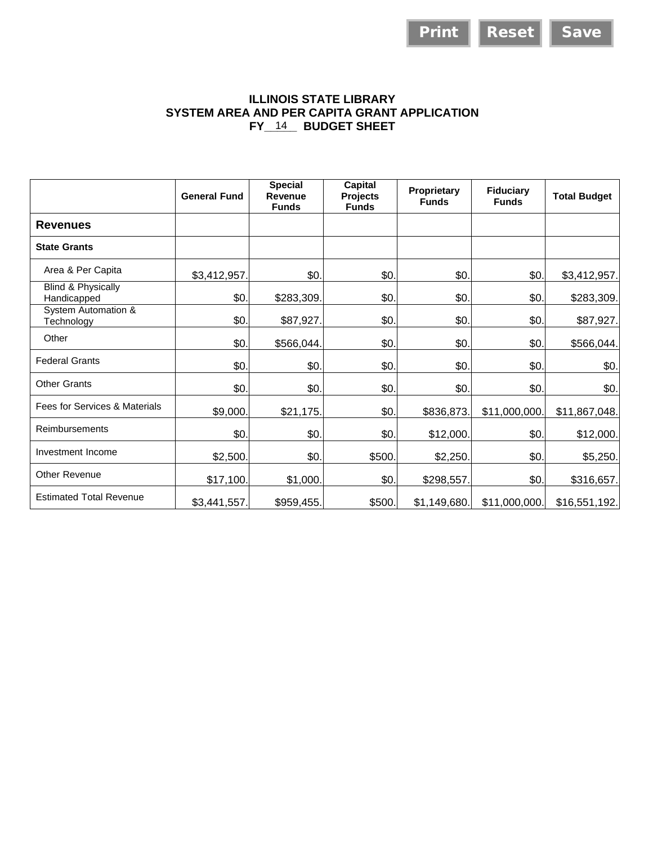## **ILLINOIS STATE LIBRARY SYSTEM AREA AND PER CAPITA GRANT APPLICATION**  FY\_14\_ BUDGET SHEET

|                                              |                                              |                                           |                                                     | <b>Print</b>                | <b>Reset</b>                     | <b>Save</b>         |
|----------------------------------------------|----------------------------------------------|-------------------------------------------|-----------------------------------------------------|-----------------------------|----------------------------------|---------------------|
|                                              | SYSTEM AREA AND PER CAPITA GRANT APPLICATION |                                           | <b>ILLINOIS STATE LIBRARY</b><br>FY 14 BUDGET SHEET |                             |                                  |                     |
|                                              | <b>General Fund</b>                          | <b>Special</b><br>Revenue<br><b>Funds</b> | Capital<br><b>Projects</b><br><b>Funds</b>          | Proprietary<br><b>Funds</b> | <b>Fiduciary</b><br><b>Funds</b> | <b>Total Budget</b> |
| <b>Revenues</b>                              |                                              |                                           |                                                     |                             |                                  |                     |
| <b>State Grants</b>                          |                                              |                                           |                                                     |                             |                                  |                     |
| Area & Per Capita                            | \$3,412,957.                                 | \$0.                                      | \$0.                                                | \$0.                        | \$0.                             | \$3,412,957.        |
| <b>Blind &amp; Physically</b><br>Handicapped | \$0.                                         | \$283,309.                                | \$0.                                                | \$0.                        | \$0.                             | \$283,309.          |
| <b>System Automation &amp;</b><br>Technology | \$0.                                         | \$87,927.                                 | \$0                                                 | \$0                         | \$0.                             | \$87,927.           |
| Other                                        | \$0.                                         | \$566,044.                                | \$0                                                 | \$0.                        | \$0.                             | \$566,044.          |
| <b>Federal Grants</b>                        | \$0.                                         | \$0.                                      | \$0                                                 | \$0.                        | \$0.                             | \$0.                |
| <b>Other Grants</b>                          | \$0.                                         | \$0.                                      | \$0.                                                | \$0.                        | \$0.                             | \$0.                |
| Fees for Services & Materials                | \$9,000.                                     | \$21,175.                                 | \$0                                                 | \$836,873                   | \$11,000,000.                    | \$11,867,048.       |
| Reimbursements                               | \$0.                                         | \$0                                       | \$0                                                 | \$12,000                    | \$0.                             | \$12,000.           |
| Investment Income                            | \$2,500.                                     | \$0.                                      | \$500                                               | \$2,250.                    | \$0.                             | \$5,250.            |
| Other Revenue                                | \$17,100.                                    | \$1,000.                                  | \$0.                                                | \$298,557.                  | \$0.                             | \$316,657.          |
| <b>Estimated Total Revenue</b>               | \$3,441,557.                                 | \$959,455.                                | \$500.                                              | \$1,149,680.                | \$11,000,000.                    | \$16,551,192.       |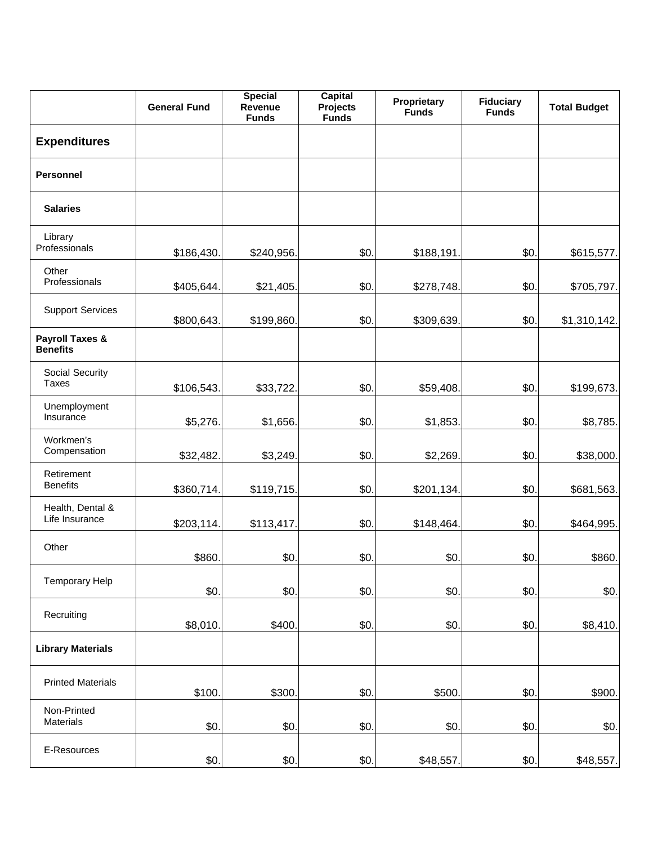|                                               | <b>General Fund</b> | <b>Special</b><br>Revenue<br><b>Funds</b> | <b>Capital</b><br><b>Projects</b><br><b>Funds</b> | Proprietary<br><b>Funds</b> | <b>Fiduciary</b><br><b>Funds</b> | <b>Total Budget</b> |
|-----------------------------------------------|---------------------|-------------------------------------------|---------------------------------------------------|-----------------------------|----------------------------------|---------------------|
| <b>Expenditures</b>                           |                     |                                           |                                                   |                             |                                  |                     |
| <b>Personnel</b>                              |                     |                                           |                                                   |                             |                                  |                     |
| <b>Salaries</b>                               |                     |                                           |                                                   |                             |                                  |                     |
| Library<br>Professionals                      | \$186,430.          | \$240,956.                                | \$0.                                              | \$188,191.                  | \$0.                             | \$615,577.          |
| Other<br>Professionals                        | \$405,644.          | \$21,405.                                 | \$0.                                              | \$278,748.                  | \$0.                             | \$705,797.          |
| <b>Support Services</b>                       | \$800,643.          | \$199,860.                                | \$0.                                              | \$309,639.                  | \$0.                             | \$1,310,142.        |
| <b>Payroll Taxes &amp;</b><br><b>Benefits</b> |                     |                                           |                                                   |                             |                                  |                     |
| Social Security<br>Taxes                      | \$106,543.          | \$33,722.                                 | \$0.                                              | \$59,408.                   | \$0.                             | \$199,673.          |
| Unemployment<br>Insurance                     | \$5,276.            | \$1,656.                                  | \$0.                                              | \$1,853.                    | \$0.                             | \$8,785.            |
| Workmen's<br>Compensation                     | \$32,482.           | \$3,249.                                  | \$0.                                              | \$2,269.                    | \$0.                             | \$38,000.           |
| Retirement<br><b>Benefits</b>                 | \$360,714.          | \$119,715.                                | \$0.                                              | \$201,134.                  | \$0.                             | \$681,563.          |
| Health, Dental &<br>Life Insurance            | \$203,114.          | \$113,417.                                | \$0.                                              | \$148,464.                  | \$0.                             | \$464,995.          |
| Other                                         | \$860.              | \$0.                                      | \$0.                                              | \$0.                        | \$0.                             | \$860.              |
| <b>Temporary Help</b>                         | \$0.                | \$0.                                      | \$0.                                              | \$0.                        | \$0.                             | \$0.                |
| Recruiting                                    | \$8,010.            | \$400.                                    | \$0.                                              | \$0.                        | \$0.                             | \$8,410.            |
| <b>Library Materials</b>                      |                     |                                           |                                                   |                             |                                  |                     |
| <b>Printed Materials</b>                      | \$100.              | \$300.                                    | \$0.                                              | \$500                       | \$0.                             | \$900.              |
| Non-Printed<br>Materials                      | \$0.                | \$0.                                      | \$0.                                              | \$0.                        | \$0.                             | \$0.                |
| E-Resources                                   | \$0.                | \$0.                                      | \$0.                                              | \$48,557.                   | \$0.                             | \$48,557.           |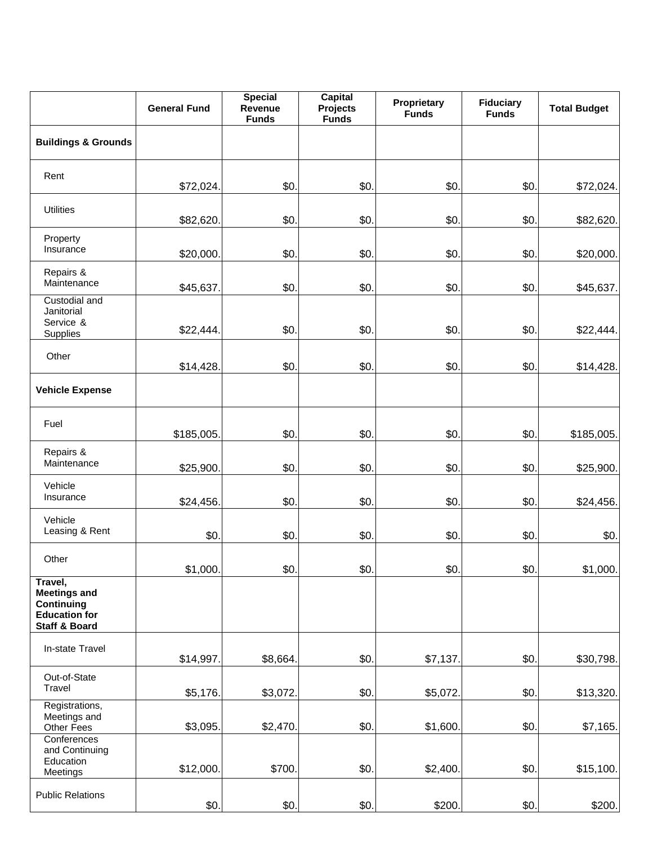|                                                                                                  | <b>General Fund</b> | <b>Special</b><br>Revenue<br><b>Funds</b> | <b>Capital</b><br><b>Projects</b><br><b>Funds</b> | Proprietary<br><b>Funds</b> | <b>Fiduciary</b><br><b>Funds</b> | <b>Total Budget</b> |
|--------------------------------------------------------------------------------------------------|---------------------|-------------------------------------------|---------------------------------------------------|-----------------------------|----------------------------------|---------------------|
| <b>Buildings &amp; Grounds</b>                                                                   |                     |                                           |                                                   |                             |                                  |                     |
| Rent                                                                                             | \$72,024.           | \$0.                                      | \$0.                                              | \$0.                        | \$0.                             | \$72,024.           |
| <b>Utilities</b>                                                                                 | \$82,620.           | \$0.                                      | \$0.                                              | \$0.                        | \$0.                             | \$82,620.           |
| Property<br>Insurance                                                                            | \$20,000.           | \$0.                                      | \$0.                                              | \$0.                        | \$0.                             | \$20,000.           |
| Repairs &<br>Maintenance                                                                         | \$45,637.           | \$0.                                      | \$0.                                              | \$0.                        | \$0.                             | \$45,637.           |
| Custodial and<br>Janitorial<br>Service &<br>Supplies                                             | \$22,444.           | \$0.                                      | \$0                                               | \$0.                        | \$0.                             | \$22,444.           |
| Other                                                                                            | \$14,428.           | \$0.                                      | \$0.                                              | \$0.                        | \$0.                             | \$14,428.           |
| <b>Vehicle Expense</b>                                                                           |                     |                                           |                                                   |                             |                                  |                     |
| Fuel                                                                                             | \$185,005.          | \$0.                                      | \$0.                                              | \$0.                        | \$0.                             | \$185,005.          |
| Repairs &<br>Maintenance                                                                         | \$25,900.           | \$0.                                      | \$0.                                              | \$0.                        | \$0.                             | \$25,900.           |
| Vehicle<br>Insurance                                                                             | \$24,456.           | \$0.                                      | \$0                                               | \$0.                        | \$0.                             | \$24,456.           |
| Vehicle<br>Leasing & Rent                                                                        | \$0.                | \$0.                                      | \$0.                                              | \$0.                        | \$0.                             | \$0.                |
| Other                                                                                            | \$1,000.            | \$0.                                      | \$0.                                              | \$0.                        | \$0.                             | \$1,000             |
| Travel,<br><b>Meetings and</b><br>Continuing<br><b>Education for</b><br><b>Staff &amp; Board</b> |                     |                                           |                                                   |                             |                                  |                     |
| In-state Travel                                                                                  | \$14,997.           | \$8,664.                                  | \$0.                                              | \$7,137.                    | \$0.                             | \$30,798.           |
| Out-of-State<br>Travel                                                                           | \$5,176.            | \$3,072.                                  | \$0.                                              | \$5,072.                    | \$0.                             | \$13,320.           |
| Registrations,<br>Meetings and<br>Other Fees                                                     | \$3,095.            | \$2,470.                                  | \$0.                                              | \$1,600.                    | \$0.                             | \$7,165.            |
| Conferences<br>and Continuing<br>Education<br>Meetings                                           | \$12,000.           | \$700.                                    | \$0.                                              | \$2,400.                    | \$0.                             | \$15,100.           |
| <b>Public Relations</b>                                                                          | \$0.                | \$0.                                      | \$0.                                              | \$200.                      | \$0.                             | \$200.              |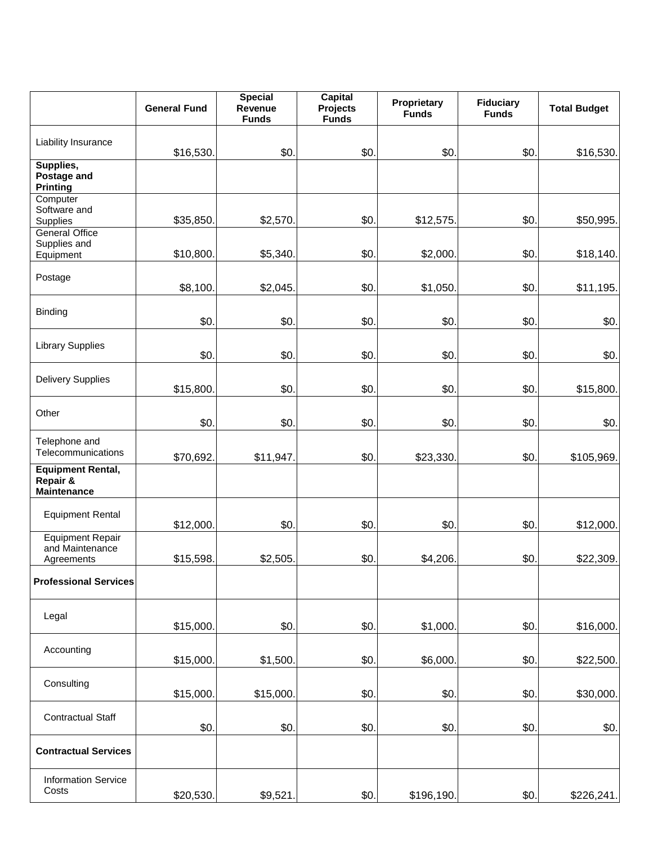|                                                            | <b>General Fund</b> | <b>Special</b><br>Revenue<br><b>Funds</b> | <b>Capital</b><br><b>Projects</b><br><b>Funds</b> | Proprietary<br><b>Funds</b> | <b>Fiduciary</b><br><b>Funds</b> | <b>Total Budget</b> |
|------------------------------------------------------------|---------------------|-------------------------------------------|---------------------------------------------------|-----------------------------|----------------------------------|---------------------|
| Liability Insurance                                        | \$16,530.           | \$0.                                      | \$0.                                              | \$0.                        | \$0.                             | \$16,530.           |
| Supplies,<br>Postage and<br><b>Printing</b>                |                     |                                           |                                                   |                             |                                  |                     |
| Computer<br>Software and<br><b>Supplies</b>                | \$35,850.           | \$2,570.                                  | \$0.                                              | \$12,575.                   | \$0.                             | \$50,995.           |
| <b>General Office</b><br>Supplies and<br>Equipment         | \$10,800.           | \$5,340                                   | \$0.                                              | \$2,000.                    | \$0.                             | \$18,140.           |
| Postage                                                    | \$8,100.            | \$2,045.                                  | \$0.                                              | \$1,050.                    | \$0.                             | \$11,195.           |
| <b>Binding</b>                                             | \$0.                | \$0.                                      | \$0.                                              | \$0.                        | \$0.                             | \$0.                |
| <b>Library Supplies</b>                                    | \$0.                | \$0.                                      | \$0.                                              | \$0.                        | \$0.                             | \$0.                |
| <b>Delivery Supplies</b>                                   | \$15,800.           | \$0.                                      | \$0.                                              | \$0.                        | \$0.                             | \$15,800.           |
| Other                                                      | \$0.                | \$0.                                      | \$0.                                              | \$0.                        | \$0.                             | \$0.                |
| Telephone and<br>Telecommunications                        | \$70,692.           | \$11,947.                                 | \$0.                                              | \$23,330.                   | \$0.                             | \$105,969.          |
| <b>Equipment Rental,</b><br>Repair &<br><b>Maintenance</b> |                     |                                           |                                                   |                             |                                  |                     |
| <b>Equipment Rental</b>                                    | \$12,000.           | \$0.                                      | \$0.                                              | \$0.                        | \$0.                             | \$12,000.           |
| <b>Equipment Repair</b><br>and Maintenance<br>Agreements   | \$15,598.           | \$2,505                                   | \$0.                                              | \$4,206                     | \$0.                             | \$22,309.           |
| <b>Professional Services</b>                               |                     |                                           |                                                   |                             |                                  |                     |
| Legal                                                      | \$15,000.           | \$0.                                      | \$0.                                              | \$1,000.                    | \$0.                             | \$16,000.           |
| Accounting                                                 | \$15,000.           | \$1,500.                                  | \$0.                                              | \$6,000                     | \$0.                             | \$22,500.           |
| Consulting                                                 | \$15,000.           | \$15,000.                                 | \$0.                                              | \$0.                        | \$0.                             | \$30,000.           |
| <b>Contractual Staff</b>                                   | \$0.                | \$0.                                      | \$0.                                              | \$0.                        | \$0.                             | \$0.                |
| <b>Contractual Services</b>                                |                     |                                           |                                                   |                             |                                  |                     |
| <b>Information Service</b><br>Costs                        | \$20,530.           | \$9,521.                                  | \$0.                                              | \$196,190.                  | \$0.                             | \$226,241.          |